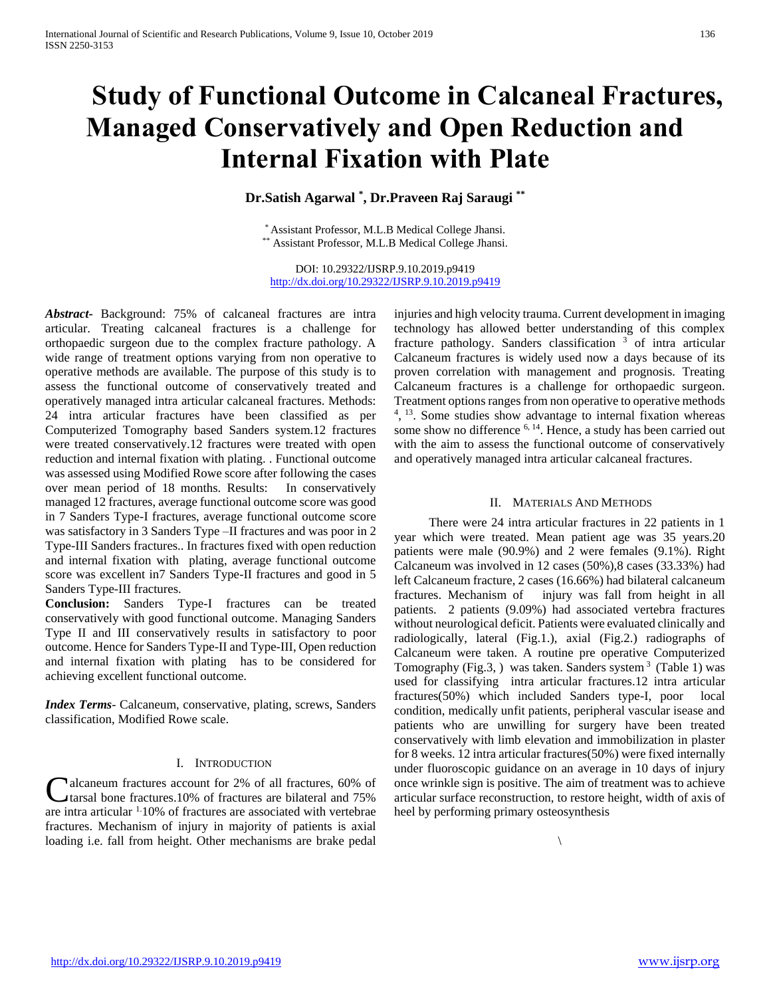# **Study of Functional Outcome in Calcaneal Fractures, Managed Conservatively and Open Reduction and Internal Fixation with Plate**

# **Dr.Satish Agarwal \* , Dr.Praveen Raj Saraugi \*\***

\* Assistant Professor, M.L.B Medical College Jhansi. \*\* Assistant Professor, M.L.B Medical College Jhansi.

DOI: 10.29322/IJSRP.9.10.2019.p9419 <http://dx.doi.org/10.29322/IJSRP.9.10.2019.p9419>

*Abstract***-** Background: 75% of calcaneal fractures are intra articular. Treating calcaneal fractures is a challenge for orthopaedic surgeon due to the complex fracture pathology. A wide range of treatment options varying from non operative to operative methods are available. The purpose of this study is to assess the functional outcome of conservatively treated and operatively managed intra articular calcaneal fractures. Methods: 24 intra articular fractures have been classified as per Computerized Tomography based Sanders system.12 fractures were treated conservatively.12 fractures were treated with open reduction and internal fixation with plating. . Functional outcome was assessed using Modified Rowe score after following the cases over mean period of 18 months. Results: In conservatively managed 12 fractures, average functional outcome score was good in 7 Sanders Type-I fractures, average functional outcome score was satisfactory in 3 Sanders Type –II fractures and was poor in 2 Type-III Sanders fractures.. In fractures fixed with open reduction and internal fixation with plating, average functional outcome score was excellent in7 Sanders Type-II fractures and good in 5 Sanders Type-III fractures.

**Conclusion:** Sanders Type-I fractures can be treated conservatively with good functional outcome. Managing Sanders Type II and III conservatively results in satisfactory to poor outcome. Hence for Sanders Type-II and Type-III, Open reduction and internal fixation with plating has to be considered for achieving excellent functional outcome.

*Index Terms*- Calcaneum, conservative, plating, screws, Sanders classification, Modified Rowe scale.

## I. INTRODUCTION

alcaneum fractures account for 2% of all fractures, 60% of tarsal bone fractures.10% of fractures are bilateral and 75% **C** alcaneum fractures account for 2% of all fractures, 60% of tarsal bone fractures.10% of fractures are bilateral and 75% are intra articular  $1.10\%$  of fractures are associated with vertebrae fractures. Mechanism of injury in majority of patients is axial loading i.e. fall from height. Other mechanisms are brake pedal

injuries and high velocity trauma. Current development in imaging technology has allowed better understanding of this complex fracture pathology. Sanders classification  $3$  of intra articular Calcaneum fractures is widely used now a days because of its proven correlation with management and prognosis. Treating Calcaneum fractures is a challenge for orthopaedic surgeon. Treatment options ranges from non operative to operative methods <sup>4</sup>, <sup>13</sup>. Some studies show advantage to internal fixation whereas some show no difference <sup>6, 14</sup>. Hence, a study has been carried out with the aim to assess the functional outcome of conservatively and operatively managed intra articular calcaneal fractures.

## II. MATERIALS AND METHODS

 There were 24 intra articular fractures in 22 patients in 1 year which were treated. Mean patient age was 35 years.20 patients were male (90.9%) and 2 were females (9.1%). Right Calcaneum was involved in 12 cases (50%),8 cases (33.33%) had left Calcaneum fracture, 2 cases (16.66%) had bilateral calcaneum fractures. Mechanism of injury was fall from height in all patients. 2 patients (9.09%) had associated vertebra fractures without neurological deficit. Patients were evaluated clinically and radiologically, lateral (Fig.1.), axial (Fig.2.) radiographs of Calcaneum were taken. A routine pre operative Computerized Tomography (Fig.3, ) was taken. Sanders system  $3$  (Table 1) was used for classifying intra articular fractures.12 intra articular fractures(50%) which included Sanders type-I, poor local condition, medically unfit patients, peripheral vascular isease and patients who are unwilling for surgery have been treated conservatively with limb elevation and immobilization in plaster for 8 weeks. 12 intra articular fractures(50%) were fixed internally under fluoroscopic guidance on an average in 10 days of injury once wrinkle sign is positive. The aim of treatment was to achieve articular surface reconstruction, to restore height, width of axis of heel by performing primary osteosynthesis

 $\setminus$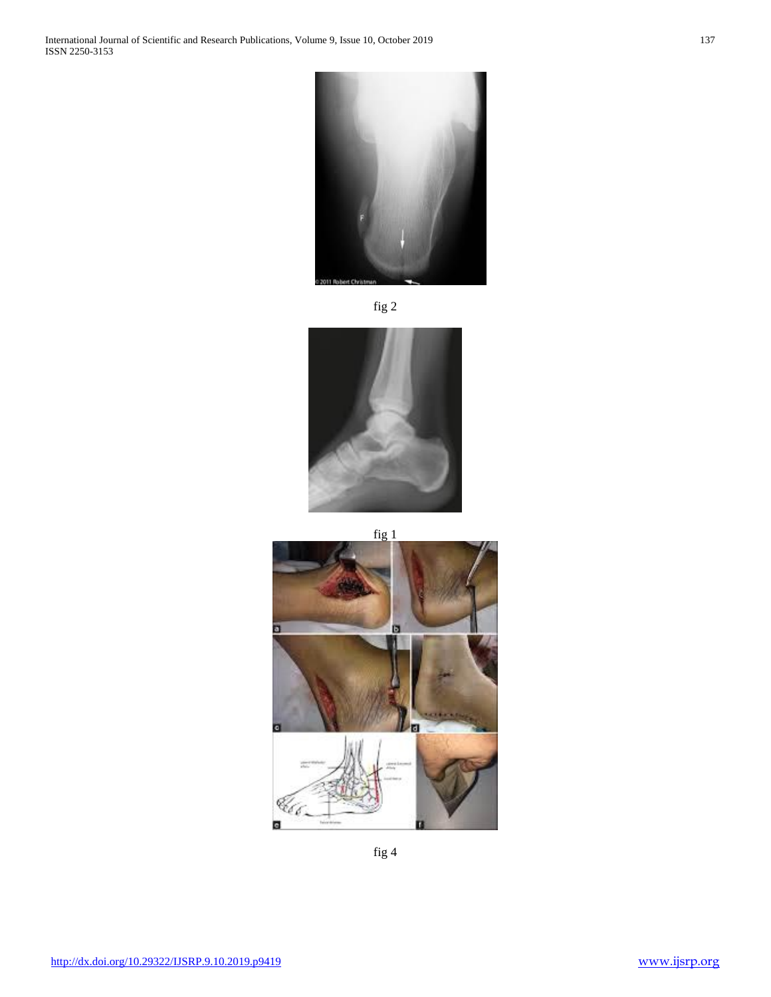





fig 1



fig 4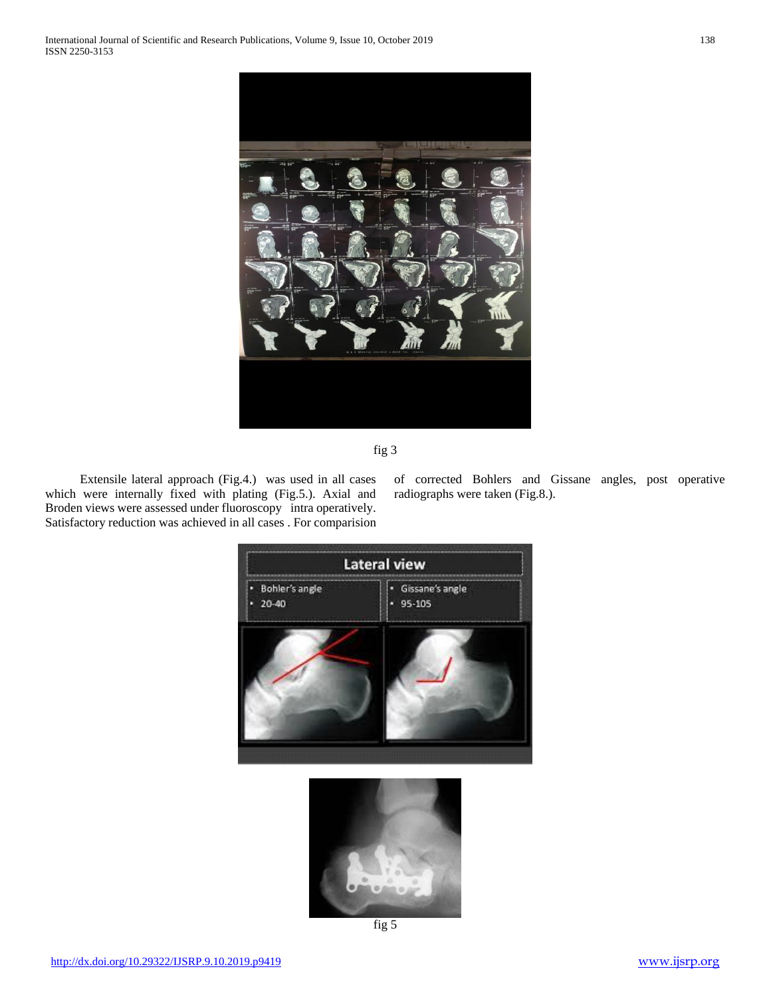



 Extensile lateral approach (Fig.4.) was used in all cases which were internally fixed with plating (Fig.5.). Axial and Broden views were assessed under fluoroscopy intra operatively. Satisfactory reduction was achieved in all cases . For comparision of corrected Bohlers and Gissane angles, post operative radiographs were taken (Fig.8.).



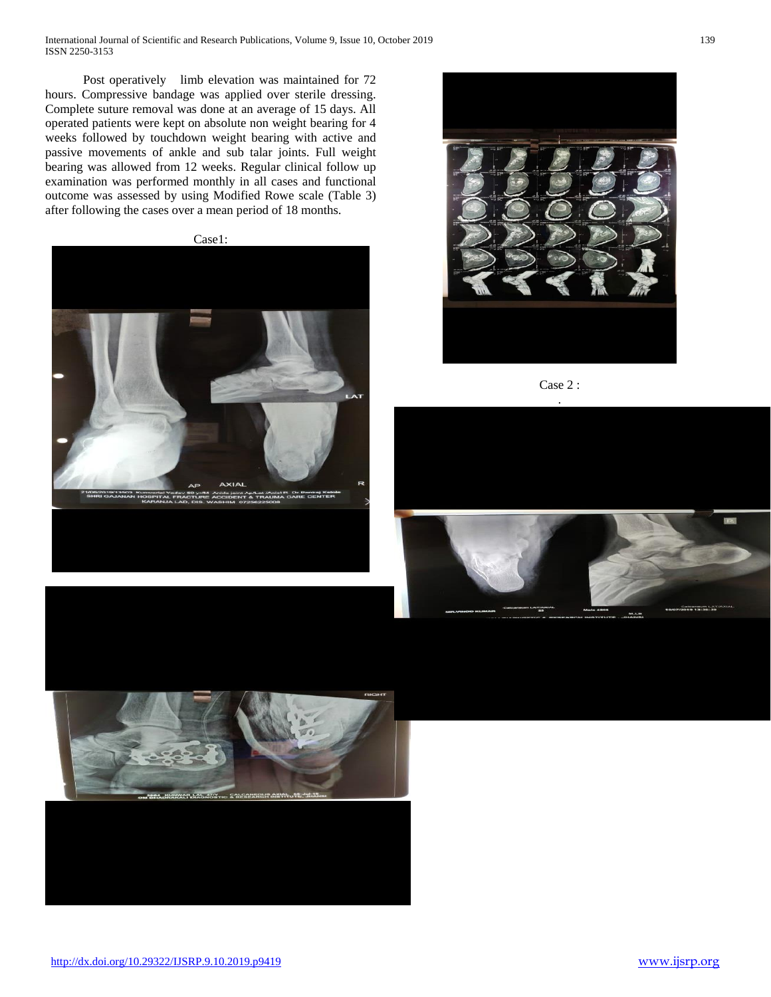International Journal of Scientific and Research Publications, Volume 9, Issue 10, October 2019 139 ISSN 2250-3153

Post operatively limb elevation was maintained for 72 hours. Compressive bandage was applied over sterile dressing. Complete suture removal was done at an average of 15 days. All operated patients were kept on absolute non weight bearing for 4 weeks followed by touchdown weight bearing with active and passive movements of ankle and sub talar joints. Full weight bearing was allowed from 12 weeks. Regular clinical follow up examination was performed monthly in all cases and functional outcome was assessed by using Modified Rowe scale (Table 3) after following the cases over a mean period of 18 months.









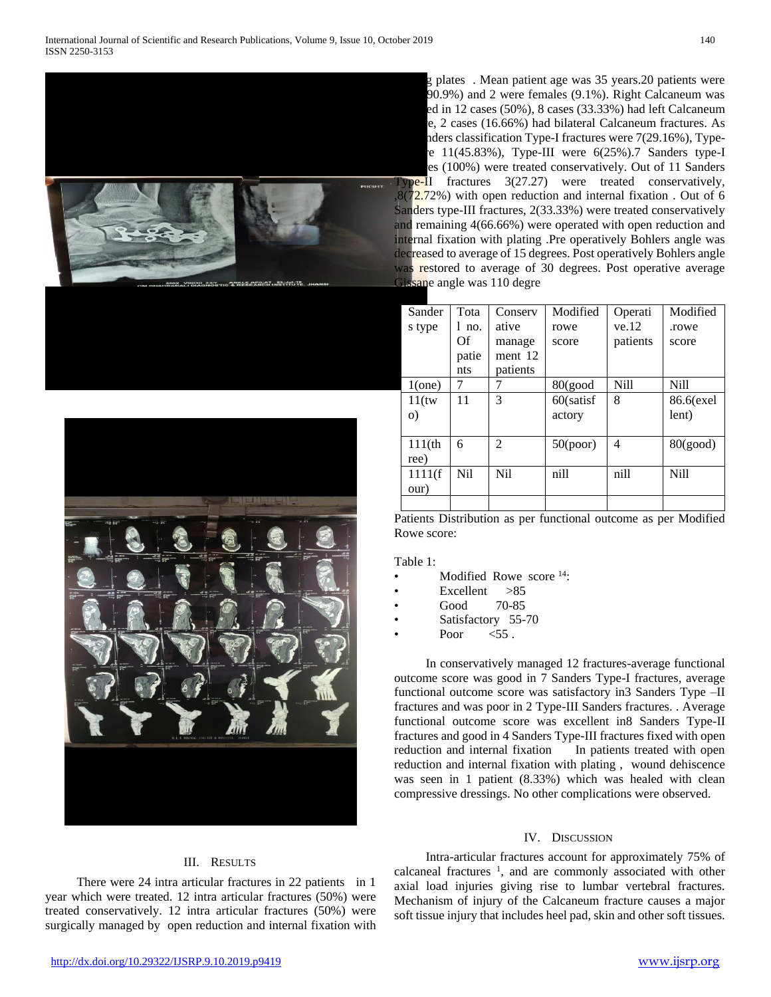



g plates. Mean patient age was 35 years.20 patients were 90.9%) and 2 were females (9.1%). Right Calcaneum was ed in 12 cases (50%), 8 cases (33.33%) had left Calcaneum e, 2 cases (16.66%) had bilateral Calcaneum fractures. As nders classification Type-I fractures were 7(29.16%), Type- $I = 11(45.83\%)$ , Type-III were  $6(25\%)$ . Sanders type-I es (100%) were treated conservatively. Out of 11 Sanders

 $Type-II$  fractures  $3(27.27)$  were treated conservatively,  $(8(72.72%)$  with open reduction and internal fixation. Out of 6 Sanders type-III fractures, 2(33.33%) were treated conservatively and remaining 4(66.66%) were operated with open reduction and internal fixation with plating .Pre operatively Bohlers angle was decreased to average of 15 degrees. Post operatively Bohlers angle was restored to average of 30 degrees. Post operative average Gissane angle was 110 degre

| Sander    | Tota  | Conserv         | Modified   | Operati  | Modified    |
|-----------|-------|-----------------|------------|----------|-------------|
| s type    | l no. | ative           | rowe       | ve.12    | .rowe       |
|           | Of    | manage          | score      | patients | score       |
|           | patie | ment 12         |            |          |             |
|           | nts   | patients        |            |          |             |
| $1$ (one) | 7     | 7               | $80$ (good | Nill     | <b>Nill</b> |
| $11$ (tw  | 11    | 3               | 60(satisf  | 8        | 86.6(exel   |
| $\circ$ ) |       |                 | actory     |          | lent)       |
|           |       |                 |            |          |             |
| $111$ (th | 6     | 2               | 50(poor)   | 4        | 80(good)    |
| ree)      |       |                 |            |          |             |
| 1111(f    | Nil   | N <sub>il</sub> | nill       | nill     | Nill        |
| our)      |       |                 |            |          |             |
|           |       |                 |            |          |             |

Patients Distribution as per functional outcome as per Modified Rowe score:

Table 1:

- Modified Rowe score <sup>14</sup>:
- $Excellent > 85$
- Good 70-85
- Satisfactory 55-70
- Poor  $\leq 55$ .

 In conservatively managed 12 fractures-average functional outcome score was good in 7 Sanders Type-I fractures, average functional outcome score was satisfactory in3 Sanders Type –II fractures and was poor in 2 Type-III Sanders fractures. . Average functional outcome score was excellent in8 Sanders Type-II fractures and good in 4 Sanders Type-III fractures fixed with open reduction and internal fixation In patients treated with open reduction and internal fixation with plating , wound dehiscence was seen in 1 patient (8.33%) which was healed with clean compressive dressings. No other complications were observed.

### IV. DISCUSSION

# calcaneal fractures  $\frac{1}{1}$ , and are commonly associated with other axial load injuries giving rise to lumbar vertebral fractures. Mechanism of injury of the Calcaneum fracture causes a major soft tissue injury that includes heel pad, skin and other soft tissues.

# III. RESULTS

 There were 24 intra articular fractures in 22 patients in 1 year which were treated. 12 intra articular fractures (50%) were treated conservatively. 12 intra articular fractures (50%) were surgically managed by open reduction and internal fixation with

Intra-articular fractures account for approximately 75% of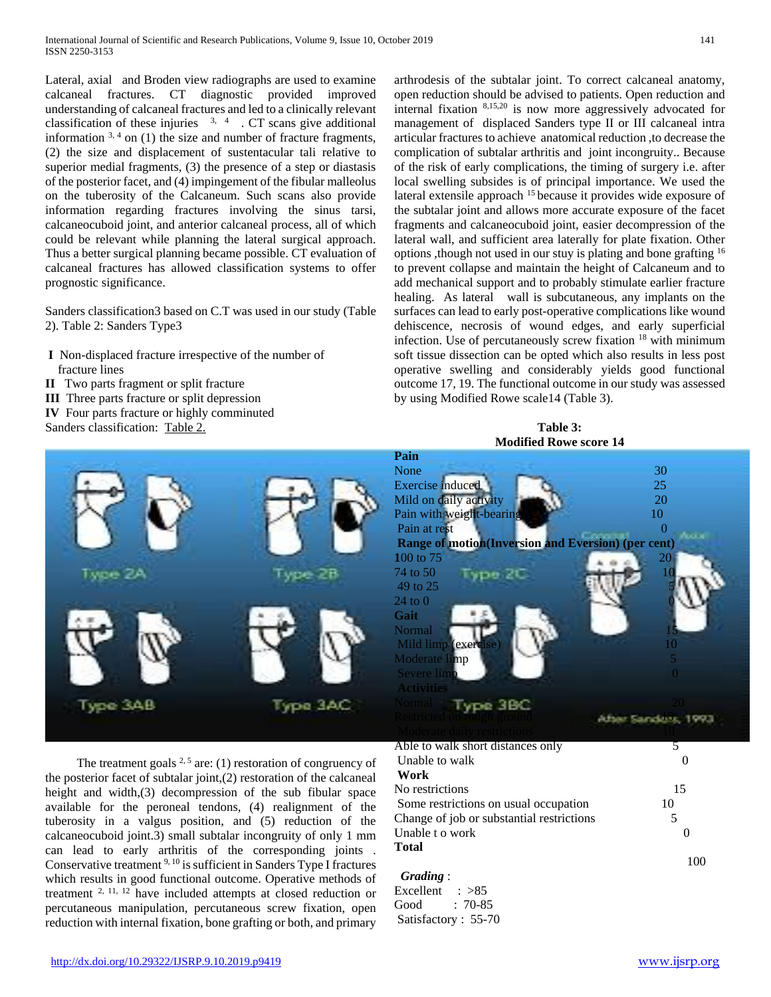Lateral, axial and Broden view radiographs are used to examine calcaneal fractures. CT diagnostic provided improved understanding of calcaneal fractures and led to a clinically relevant classification of these injuries  $3, 4$ . CT scans give additional information  $3, 4$  on (1) the size and number of fracture fragments, (2) the size and displacement of sustentacular tali relative to superior medial fragments, (3) the presence of a step or diastasis of the posterior facet, and (4) impingement of the fibular malleolus on the tuberosity of the Calcaneum. Such scans also provide information regarding fractures involving the sinus tarsi, calcaneocuboid joint, and anterior calcaneal process, all of which could be relevant while planning the lateral surgical approach. Thus a better surgical planning became possible. CT evaluation of calcaneal fractures has allowed classification systems to offer prognostic significance.

Sanders classification3 based on C.T was used in our study (Table 2). Table 2: Sanders Type3

- **I** Non-displaced fracture irrespective of the number of fracture lines
- **II** Two parts fragment or split fracture
- **III** Three parts fracture or split depression
- **IV** Four parts fracture or highly comminuted
- Sanders classification: Table 2.



The treatment goals  $2.5$  are: (1) restoration of congruency of the posterior facet of subtalar joint,(2) restoration of the calcaneal height and width, (3) decompression of the sub fibular space available for the peroneal tendons, (4) realignment of the tuberosity in a valgus position, and (5) reduction of the calcaneocuboid joint.3) small subtalar incongruity of only 1 mm can lead to early arthritis of the corresponding joints . Conservative treatment 9, 10 is sufficient in Sanders Type I fractures which results in good functional outcome. Operative methods of treatment  $2, 11, 12$  have included attempts at closed reduction or percutaneous manipulation, percutaneous screw fixation, open reduction with internal fixation, bone grafting or both, and primary arthrodesis of the subtalar joint. To correct calcaneal anatomy, open reduction should be advised to patients. Open reduction and internal fixation 8,15,20 is now more aggressively advocated for management of displaced Sanders type II or III calcaneal intra articular fractures to achieve anatomical reduction ,to decrease the complication of subtalar arthritis and joint incongruity.. Because of the risk of early complications, the timing of surgery i.e. after local swelling subsides is of principal importance. We used the lateral extensile approach <sup>15</sup> because it provides wide exposure of the subtalar joint and allows more accurate exposure of the facet fragments and calcaneocuboid joint, easier decompression of the lateral wall, and sufficient area laterally for plate fixation. Other options ,though not used in our stuy is plating and bone grafting <sup>16</sup> to prevent collapse and maintain the height of Calcaneum and to add mechanical support and to probably stimulate earlier fracture healing. As lateral wall is subcutaneous, any implants on the surfaces can lead to early post-operative complications like wound dehiscence, necrosis of wound edges, and early superficial infection. Use of percutaneously screw fixation <sup>18</sup> with minimum soft tissue dissection can be opted which also results in less post operative swelling and considerably yields good functional outcome 17, 19. The functional outcome in our study was assessed by using Modified Rowe scale14 (Table 3).

**Table 3: Modified Rowe score 14**

| июшися комс эсоге 17                                      |                          |  |  |  |  |
|-----------------------------------------------------------|--------------------------|--|--|--|--|
| Pain                                                      |                          |  |  |  |  |
| None                                                      | 30                       |  |  |  |  |
| <b>Exercise</b> induced                                   | 25                       |  |  |  |  |
| Mild on daily activity                                    | 20                       |  |  |  |  |
| Pain with weight-bearing                                  | 10                       |  |  |  |  |
| Pain at rest                                              |                          |  |  |  |  |
| <b>Range of motion(Inversion and Eversion) (per cent)</b> |                          |  |  |  |  |
| 100 to 75                                                 | 20                       |  |  |  |  |
| 74 to 50<br>e 2C                                          | 10                       |  |  |  |  |
| 49 to 25                                                  |                          |  |  |  |  |
| $24$ to $0$                                               |                          |  |  |  |  |
| Gait                                                      |                          |  |  |  |  |
| Normal                                                    |                          |  |  |  |  |
| Mild limp (exercise)                                      | 10                       |  |  |  |  |
| Moderate limp                                             | $\overline{\mathcal{L}}$ |  |  |  |  |
| Severe limp                                               |                          |  |  |  |  |
| <b>Activities</b>                                         |                          |  |  |  |  |
| 3 BKC                                                     |                          |  |  |  |  |
|                                                           |                          |  |  |  |  |
|                                                           |                          |  |  |  |  |

| Able to walk short distances only         |    |
|-------------------------------------------|----|
| Unable to walk                            |    |
| Work                                      |    |
| No restrictions                           | 15 |
| Some restrictions on usual occupation     | 10 |
| Change of job or substantial restrictions | 5  |
| Unable t o work                           |    |
| <b>Total</b>                              |    |
|                                           |    |

## *Grading* :

Excellent : >85 Good : 70-85 Satisfactory : 55-70